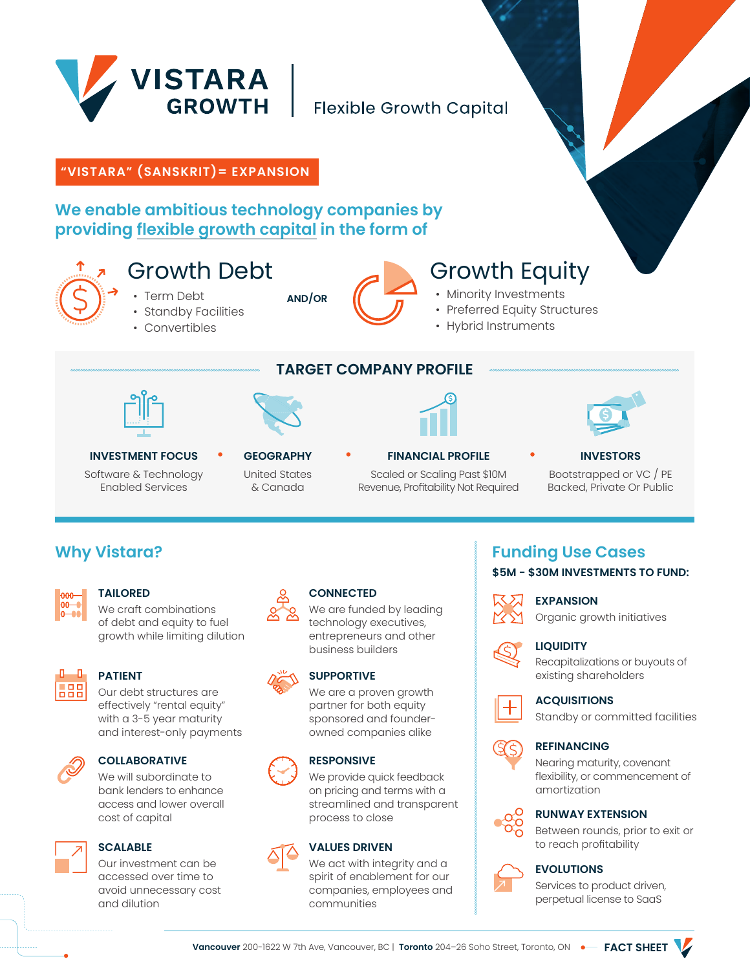

## **Flexible Growth Capital**

## **"VISTARA" (SANSKRIT)= EXPANSION**

## **We enable ambitious technology companies by providing flexible growth capital in the form of**



# Growth Debt

- Term Debt
- Standby Facilities
- Convertibles



# Growth Equity

- Minority Investments
- Preferred Equity Structures
- Hybrid Instruments





**AND/OR**

**TARGET COMPANY PROFILE**





#### **INVESTMENT FOCUS** Software & Technology Enabled Services

#### **GEOGRAPHY** United States & Canada

# **FINANCIAL PROFILE**

Scaled or Scaling Past \$10M Revenue, Profitability Not Required

## **INVESTORS**

Bootstrapped or VC / PE Backed, Private Or Public

## **Why Vistara?**



#### **TAILORED**

We craft combinations of debt and equity to fuel growth while limiting dilution



## **PATIENT**

Our debt structures are effectively "rental equity" with a 3-5 year maturity and interest-only payments



## **COLLABORATIVE**

We will subordinate to bank lenders to enhance access and lower overall cost of capital



## **SCALABLE**

Our investment can be accessed over time to avoid unnecessary cost and dilution



## **CONNECTED**

We are funded by leading technology executives, entrepreneurs and other business builders

## **SUPPORTIVE**

We are a proven growth partner for both equity sponsored and founderowned companies alike

## **RESPONSIVE**



We provide quick feedback on pricing and terms with a streamlined and transparent process to close

## **VALUES DRIVEN**

We act with integrity and a spirit of enablement for our companies, employees and communities

## **Funding Use Cases \$5M - \$30M INVESTMENTS TO FUND:**



## Organic growth initiatives



#### **LIQUIDITY**

Recapitalizations or buyouts of existing shareholders



#### **ACQUISITIONS**

Standby or committed facilities



#### **REFINANCING**

Nearing maturity, covenant flexibility, or commencement of amortization

#### **RUNWAY EXTENSION**

Between rounds, prior to exit or to reach profitability





Services to product driven, perpetual license to SaaS